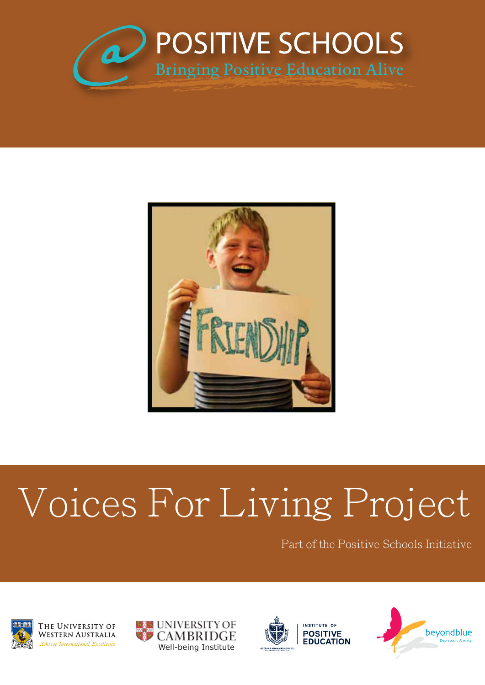



# Voices For Living Project

Part of the Positive Schools Initiative



THE UNIVERSITY OF Western Australia Achieve International Excellence





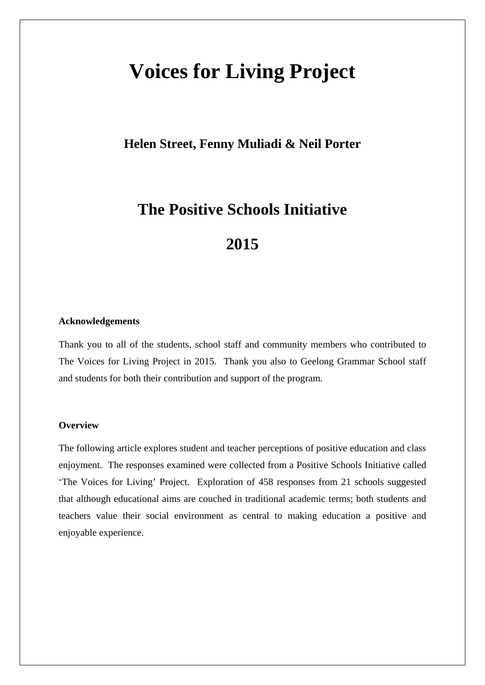## **Voices for Living Project**

### **Helen Street, Fenny Muliadi & Neil Porter**

## **The Positive Schools Initiative**

## **2015**

#### **Acknowledgements**

Thank you to all of the students, school staff and community members who contributed to The Voices for Living Project in 2015. Thank you also to Geelong Grammar School staff and students for both their contribution and support of the program.

#### **Overview**

The following article explores student and teacher perceptions of positive education and class enjoyment. The responses examined were collected from a Positive Schools Initiative called 'The Voices for Living' Project. Exploration of 458 responses from 21 schools suggested that although educational aims are couched in traditional academic terms; both students and teachers value their social environment as central to making education a positive and enjoyable experience.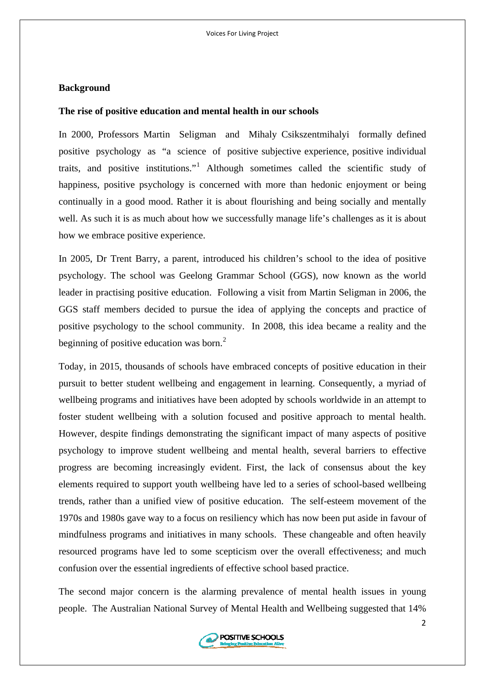#### **Background**

#### **The rise of positive education and mental health in our schools**

In 2000, Professors Martin Seligman and Mihaly Csikszentmihalyi formally defined positive psychology as "a science of positive subjective experience, positive individual traits, and positive institutions."<sup>[1](#page-10-0)</sup> Although sometimes called the scientific study of happiness, positive psychology is concerned with more than hedonic enjoyment or being continually in a good mood. Rather it is about flourishing and being socially and mentally well. As such it is as much about how we successfully manage life's challenges as it is about how we embrace positive experience.

In 2005, Dr Trent Barry, a parent, introduced his children's school to the idea of positive psychology. The school was Geelong Grammar School (GGS), now known as the world leader in practising positive education. Following a visit from Martin Seligman in 2006, the GGS staff members decided to pursue the idea of applying the concepts and practice of positive psychology to the school community. In 2008, this idea became a reality and the beginning of positive education was born. $<sup>2</sup>$  $<sup>2</sup>$  $<sup>2</sup>$ </sup>

Today, in 2015, thousands of schools have embraced concepts of positive education in their pursuit to better student wellbeing and engagement in learning. Consequently, a myriad of wellbeing programs and initiatives have been adopted by schools worldwide in an attempt to foster student wellbeing with a solution focused and positive approach to mental health. However, despite findings demonstrating the significant impact of many aspects of positive psychology to improve student wellbeing and mental health, several barriers to effective progress are becoming increasingly evident. First, the lack of consensus about the key elements required to support youth wellbeing have led to a series of school-based wellbeing trends, rather than a unified view of positive education. The self-esteem movement of the 1970s and 1980s gave way to a focus on resiliency which has now been put aside in favour of mindfulness programs and initiatives in many schools. These changeable and often heavily resourced programs have led to some scepticism over the overall effectiveness; and much confusion over the essential ingredients of effective school based practice.

The second major concern is the alarming prevalence of mental health issues in young people. The Australian National Survey of Mental Health and Wellbeing suggested that 14%

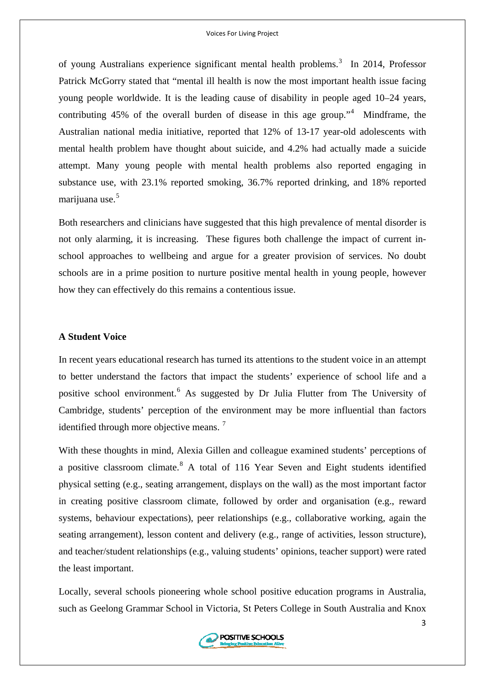of young Australians experience significant mental health problems.<sup>[3](#page-10-2)</sup> In 2014, Professor Patrick McGorry stated that "mental ill health is now the most important health issue facing young people worldwide. It is the leading cause of disability in people aged 10–24 years, contributing  $45\%$  $45\%$  of the overall burden of disease in this age group." Mindframe, the Australian national media initiative, reported that 12% of 13-17 year-old adolescents with mental health problem have thought about suicide, and 4.2% had actually made a suicide attempt. Many young people with mental health problems also reported engaging in substance use, with 23.1% reported smoking, 36.7% reported drinking, and 18% reported marijuana use.<sup>[5](#page-10-2)</sup>

Both researchers and clinicians have suggested that this high prevalence of mental disorder is not only alarming, it is increasing. These figures both challenge the impact of current inschool approaches to wellbeing and argue for a greater provision of services. No doubt schools are in a prime position to nurture positive mental health in young people, however how they can effectively do this remains a contentious issue.

#### **A Student Voice**

In recent years educational research has turned its attentions to the student voice in an attempt to better understand the factors that impact the students' experience of school life and a positive school environment.<sup>[6](#page-10-2)</sup> As suggested by Dr Julia Flutter from The University of Cambridge, students' perception of the environment may be more influential than factors identified through more objective means.<sup>[7](#page-10-2)</sup>

With these thoughts in mind, Alexia Gillen and colleague examined students' perceptions of a positive classroom climate.<sup>[8](#page-10-2)</sup> A total of 116 Year Seven and Eight students identified physical setting (e.g., seating arrangement, displays on the wall) as the most important factor in creating positive classroom climate, followed by order and organisation (e.g., reward systems, behaviour expectations), peer relationships (e.g., collaborative working, again the seating arrangement), lesson content and delivery (e.g., range of activities, lesson structure), and teacher/student relationships (e.g., valuing students' opinions, teacher support) were rated the least important.

Locally, several schools pioneering whole school positive education programs in Australia, such as Geelong Grammar School in Victoria, St Peters College in South Australia and Knox

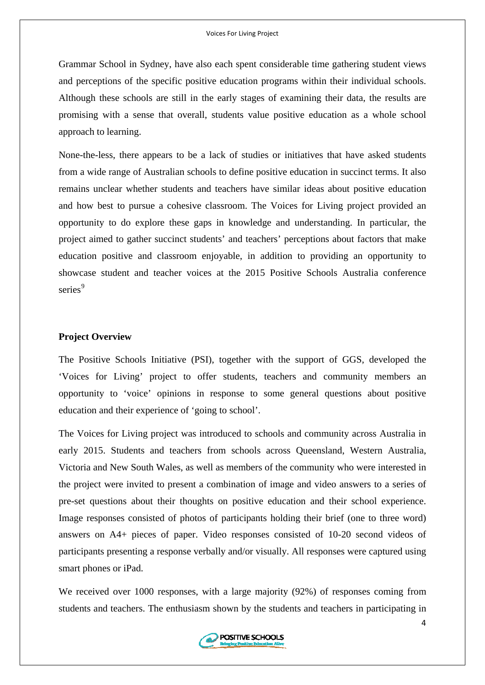Grammar School in Sydney, have also each spent considerable time gathering student views and perceptions of the specific positive education programs within their individual schools. Although these schools are still in the early stages of examining their data, the results are promising with a sense that overall, students value positive education as a whole school approach to learning.

None-the-less, there appears to be a lack of studies or initiatives that have asked students from a wide range of Australian schools to define positive education in succinct terms. It also remains unclear whether students and teachers have similar ideas about positive education and how best to pursue a cohesive classroom. The Voices for Living project provided an opportunity to do explore these gaps in knowledge and understanding. In particular, the project aimed to gather succinct students' and teachers' perceptions about factors that make education positive and classroom enjoyable, in addition to providing an opportunity to showcase student and teacher voices at the 2015 Positive Schools Australia conference series<sup>[9](#page-10-2)</sup>

#### **Project Overview**

The Positive Schools Initiative (PSI), together with the support of GGS, developed the 'Voices for Living' project to offer students, teachers and community members an opportunity to 'voice' opinions in response to some general questions about positive education and their experience of 'going to school'.

The Voices for Living project was introduced to schools and community across Australia in early 2015. Students and teachers from schools across Queensland, Western Australia, Victoria and New South Wales, as well as members of the community who were interested in the project were invited to present a combination of image and video answers to a series of pre-set questions about their thoughts on positive education and their school experience. Image responses consisted of photos of participants holding their brief (one to three word) answers on A4+ pieces of paper. Video responses consisted of 10-20 second videos of participants presenting a response verbally and/or visually. All responses were captured using smart phones or iPad.

We received over 1000 responses, with a large majority (92%) of responses coming from students and teachers. The enthusiasm shown by the students and teachers in participating in

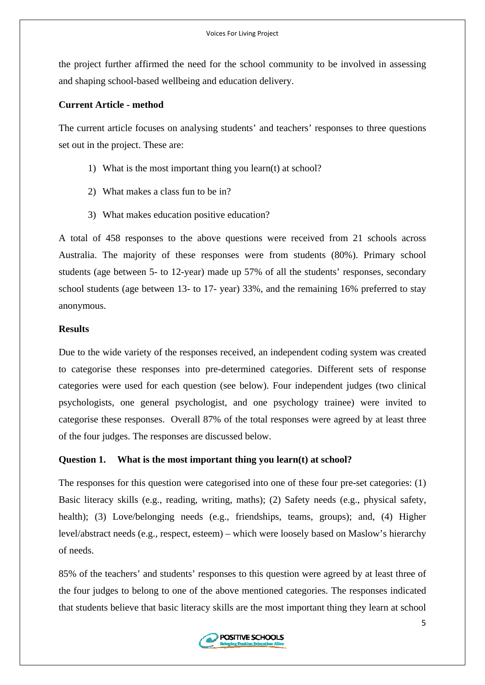the project further affirmed the need for the school community to be involved in assessing and shaping school-based wellbeing and education delivery.

#### **Current Article - method**

The current article focuses on analysing students' and teachers' responses to three questions set out in the project. These are:

- 1) What is the most important thing you learn(t) at school?
- 2) What makes a class fun to be in?
- 3) What makes education positive education?

A total of 458 responses to the above questions were received from 21 schools across Australia. The majority of these responses were from students (80%). Primary school students (age between 5- to 12-year) made up 57% of all the students' responses, secondary school students (age between 13- to 17- year) 33%, and the remaining 16% preferred to stay anonymous.

#### **Results**

Due to the wide variety of the responses received, an independent coding system was created to categorise these responses into pre-determined categories. Different sets of response categories were used for each question (see below). Four independent judges (two clinical psychologists, one general psychologist, and one psychology trainee) were invited to categorise these responses. Overall 87% of the total responses were agreed by at least three of the four judges. The responses are discussed below.

#### **Question 1. What is the most important thing you learn(t) at school?**

The responses for this question were categorised into one of these four pre-set categories: (1) Basic literacy skills (e.g., reading, writing, maths); (2) Safety needs (e.g., physical safety, health); (3) Love/belonging needs (e.g., friendships, teams, groups); and, (4) Higher level/abstract needs (e.g., respect, esteem) – which were loosely based on Maslow's hierarchy of needs.

85% of the teachers' and students' responses to this question were agreed by at least three of the four judges to belong to one of the above mentioned categories. The responses indicated that students believe that basic literacy skills are the most important thing they learn at school

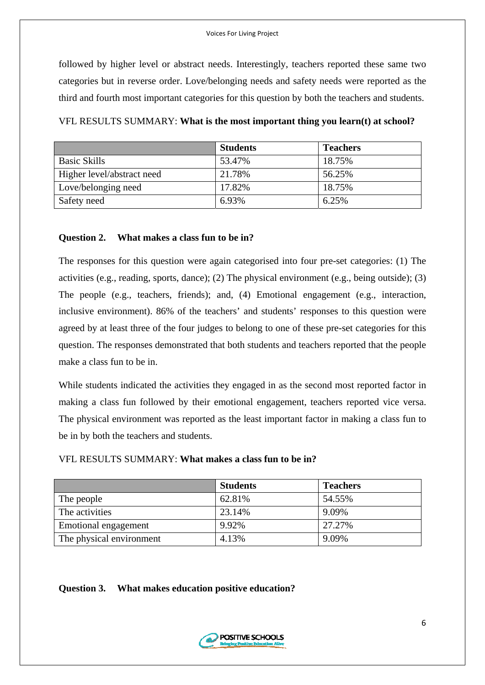followed by higher level or abstract needs. Interestingly, teachers reported these same two categories but in reverse order. Love/belonging needs and safety needs were reported as the third and fourth most important categories for this question by both the teachers and students.

|                            | <b>Students</b> | <b>Teachers</b> |
|----------------------------|-----------------|-----------------|
| <b>Basic Skills</b>        | 53.47%          | 18.75%          |
| Higher level/abstract need | 21.78%          | 56.25%          |
| Love/belonging need        | 17.82%          | 18.75%          |
| Safety need                | 6.93%           | 6.25%           |

#### **Question 2. What makes a class fun to be in?**

The responses for this question were again categorised into four pre-set categories: (1) The activities (e.g., reading, sports, dance); (2) The physical environment (e.g., being outside); (3) The people (e.g., teachers, friends); and, (4) Emotional engagement (e.g., interaction, inclusive environment). 86% of the teachers' and students' responses to this question were agreed by at least three of the four judges to belong to one of these pre-set categories for this question. The responses demonstrated that both students and teachers reported that the people make a class fun to be in.

While students indicated the activities they engaged in as the second most reported factor in making a class fun followed by their emotional engagement, teachers reported vice versa. The physical environment was reported as the least important factor in making a class fun to be in by both the teachers and students.

|                             | <b>Students</b> | <b>Teachers</b> |  |
|-----------------------------|-----------------|-----------------|--|
| The people                  | 62.81%          | 54.55%          |  |
| The activities              | 23.14%          | 9.09%           |  |
| <b>Emotional engagement</b> | 9.92%           | 27.27%          |  |
| The physical environment    | 4.13%           | 9.09%           |  |

#### VFL RESULTS SUMMARY: **What makes a class fun to be in?**

#### **Question 3. What makes education positive education?**

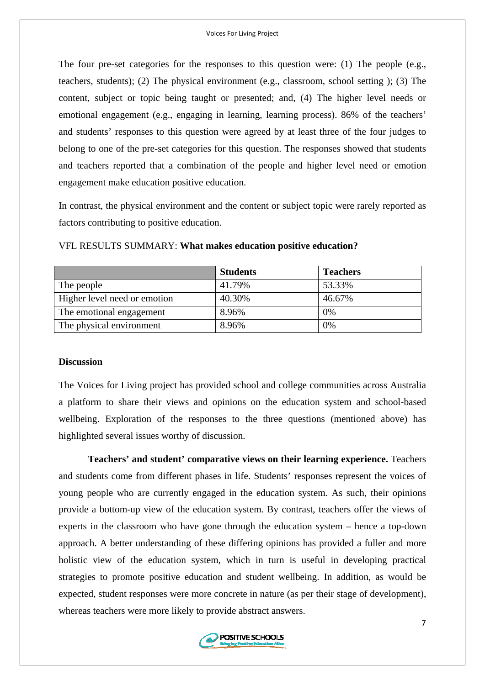The four pre-set categories for the responses to this question were: (1) The people (e.g., teachers, students); (2) The physical environment (e.g., classroom, school setting ); (3) The content, subject or topic being taught or presented; and, (4) The higher level needs or emotional engagement (e.g., engaging in learning, learning process). 86% of the teachers' and students' responses to this question were agreed by at least three of the four judges to belong to one of the pre-set categories for this question. The responses showed that students and teachers reported that a combination of the people and higher level need or emotion engagement make education positive education.

In contrast, the physical environment and the content or subject topic were rarely reported as factors contributing to positive education.

|                              | <b>Students</b> | <b>Teachers</b> |
|------------------------------|-----------------|-----------------|
| The people                   | 41.79%          | 53.33%          |
| Higher level need or emotion | 40.30%          | 46.67%          |
| The emotional engagement     | 8.96%           | $0\%$           |
| The physical environment     | 8.96%           | $0\%$           |

#### VFL RESULTS SUMMARY: **What makes education positive education?**

#### **Discussion**

The Voices for Living project has provided school and college communities across Australia a platform to share their views and opinions on the education system and school-based wellbeing. Exploration of the responses to the three questions (mentioned above) has highlighted several issues worthy of discussion.

**Teachers' and student' comparative views on their learning experience.** Teachers and students come from different phases in life. Students' responses represent the voices of young people who are currently engaged in the education system. As such, their opinions provide a bottom-up view of the education system. By contrast, teachers offer the views of experts in the classroom who have gone through the education system – hence a top-down approach. A better understanding of these differing opinions has provided a fuller and more holistic view of the education system, which in turn is useful in developing practical strategies to promote positive education and student wellbeing. In addition, as would be expected, student responses were more concrete in nature (as per their stage of development), whereas teachers were more likely to provide abstract answers.

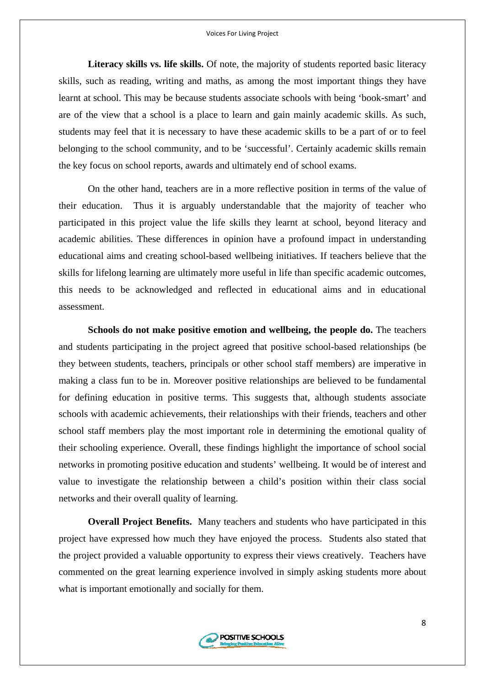**Literacy skills vs. life skills.** Of note, the majority of students reported basic literacy skills, such as reading, writing and maths, as among the most important things they have learnt at school. This may be because students associate schools with being 'book-smart' and are of the view that a school is a place to learn and gain mainly academic skills. As such, students may feel that it is necessary to have these academic skills to be a part of or to feel belonging to the school community, and to be 'successful'. Certainly academic skills remain the key focus on school reports, awards and ultimately end of school exams.

On the other hand, teachers are in a more reflective position in terms of the value of their education. Thus it is arguably understandable that the majority of teacher who participated in this project value the life skills they learnt at school, beyond literacy and academic abilities. These differences in opinion have a profound impact in understanding educational aims and creating school-based wellbeing initiatives. If teachers believe that the skills for lifelong learning are ultimately more useful in life than specific academic outcomes, this needs to be acknowledged and reflected in educational aims and in educational assessment.

**Schools do not make positive emotion and wellbeing, the people do.** The teachers and students participating in the project agreed that positive school-based relationships (be they between students, teachers, principals or other school staff members) are imperative in making a class fun to be in. Moreover positive relationships are believed to be fundamental for defining education in positive terms. This suggests that, although students associate schools with academic achievements, their relationships with their friends, teachers and other school staff members play the most important role in determining the emotional quality of their schooling experience. Overall, these findings highlight the importance of school social networks in promoting positive education and students' wellbeing. It would be of interest and value to investigate the relationship between a child's position within their class social networks and their overall quality of learning.

**Overall Project Benefits.** Many teachers and students who have participated in this project have expressed how much they have enjoyed the process. Students also stated that the project provided a valuable opportunity to express their views creatively. Teachers have commented on the great learning experience involved in simply asking students more about what is important emotionally and socially for them.

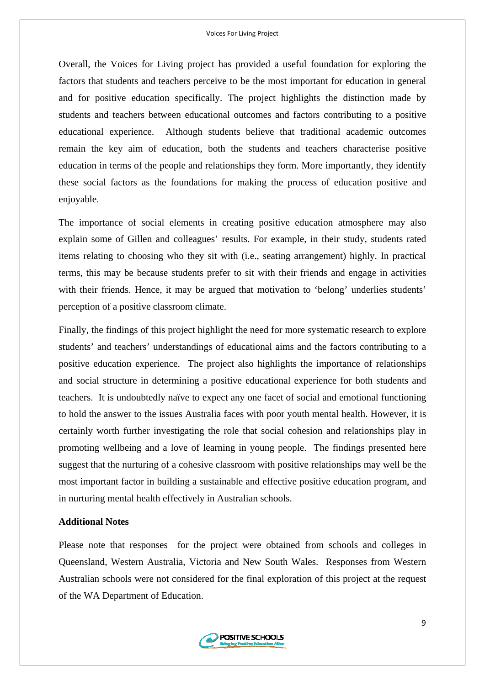Overall, the Voices for Living project has provided a useful foundation for exploring the factors that students and teachers perceive to be the most important for education in general and for positive education specifically. The project highlights the distinction made by students and teachers between educational outcomes and factors contributing to a positive educational experience. Although students believe that traditional academic outcomes remain the key aim of education, both the students and teachers characterise positive education in terms of the people and relationships they form. More importantly, they identify these social factors as the foundations for making the process of education positive and enjoyable.

The importance of social elements in creating positive education atmosphere may also explain some of Gillen and colleagues' results. For example, in their study, students rated items relating to choosing who they sit with (i.e., seating arrangement) highly. In practical terms, this may be because students prefer to sit with their friends and engage in activities with their friends. Hence, it may be argued that motivation to 'belong' underlies students' perception of a positive classroom climate.

Finally, the findings of this project highlight the need for more systematic research to explore students' and teachers' understandings of educational aims and the factors contributing to a positive education experience. The project also highlights the importance of relationships and social structure in determining a positive educational experience for both students and teachers. It is undoubtedly naïve to expect any one facet of social and emotional functioning to hold the answer to the issues Australia faces with poor youth mental health. However, it is certainly worth further investigating the role that social cohesion and relationships play in promoting wellbeing and a love of learning in young people. The findings presented here suggest that the nurturing of a cohesive classroom with positive relationships may well be the most important factor in building a sustainable and effective positive education program, and in nurturing mental health effectively in Australian schools.

#### **Additional Notes**

Please note that responses for the project were obtained from schools and colleges in Queensland, Western Australia, Victoria and New South Wales. Responses from Western Australian schools were not considered for the final exploration of this project at the request of the WA Department of Education.